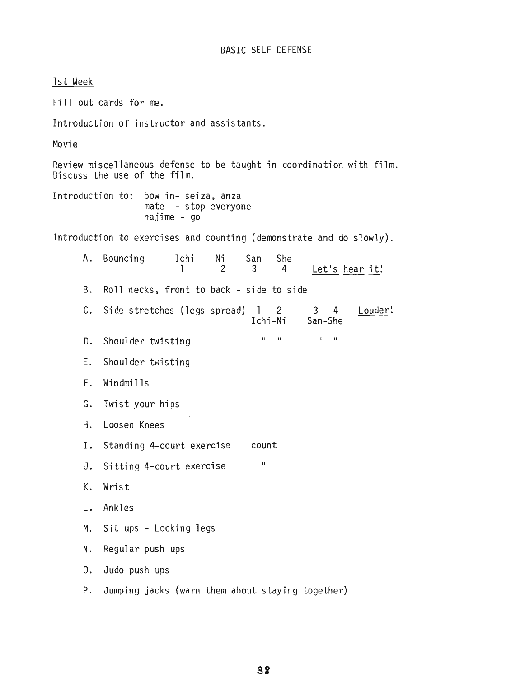1st Week Fill out cards for me. Introduction of instructor and assistants. Movie Review miscellaneous defense to be taught in coordination with film. Discuss the use of the film. Introduction to: bow in- seiza, anza mate - stop everyone hajime - go Introduction to exercises and counting (demonstrate and do slowly). A. Bouncing Ichi Ni San She<br>1 2 3 4 Let's hear it! B. Roll necks, front to back - si de to side C. Side stretches (legs spread) 1 2 3 4 Louder! Ichi-Ni San-She D. Shoulder twisting E. Shoulder twisting F. Windmills G. Twist your hips H. Loosen Knees 1. Standing 4-court exercise J. Sitting 4-court exercise K. Wrist L. Ankles II II II II count II M. Sit ups - Locking legs N. Regular push ups O. Judo push ups P. Jumping jacks (warn them about staying together)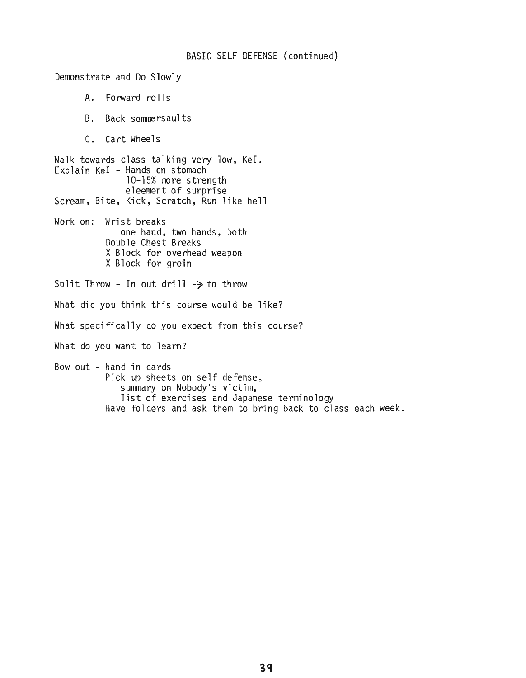## BASIC SELF DEFENSE (continued)

Demonstrate and Do Slowly A. Forward rolls B. Back sommersaults C. Cart Wheels Walk towards class talking very low, KeI. Explain KeI - Hands on stomach 10-15% more strength eleement of surprise Scream, Bite, Kick, Scratch, Run like hell Work on: Wrist breaks one hand, two hands, both Double Chest Breaks XBlock for overhead weapon XBlock for groin Split Throw - In out drill  $\rightarrow$  to throw What did you think this course would be like? What specifically do you expect from this course? What do you want to learn? Bow out - hand in cards Pick up sheets on self defense, summary on Nobody's victim, list of exercises and Japanese terminology Have folders and ask them to bring back to class each week.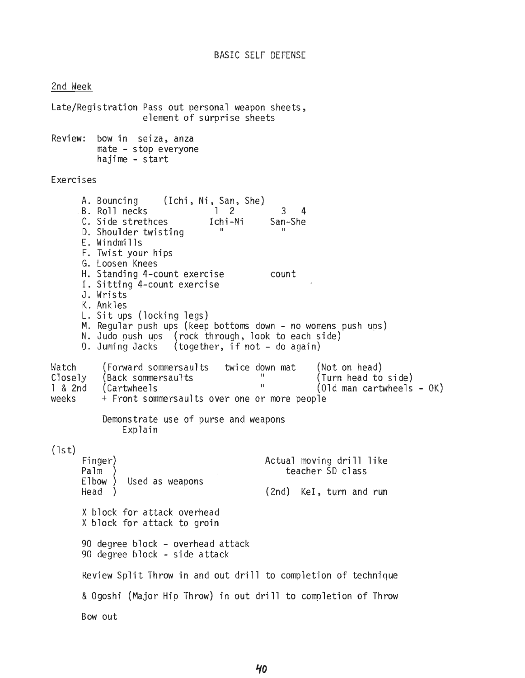2nd Week

Late/Registration Pass out personal weapon sheets, element of surprise sheets Review: bow in seiza, anza mate - stop everyone hajime - start Exercises L. Sit ups (locking legs<mark>)</mark><br>M. Regular push ups (keep bottoms down - no womens push ups) II count 3 4 :hi-Ni San-She<br>" (Ichi, Ni, San, She) 1 2 Ichi-Ni A. Bouncing B. Roll necks C. Side strethces D. Shoulder twisting E. Windmills F. Twist your hips Loosen Knees G. H. Standing 4-count exercise I. Sitting 4-count exercise J. Wrists K. Ankles N. Judo push ups (rock through, look to each side)  $(together, if not - do again)$ L. Sit ups (locking legs) 0. Juming Jacks [-latch Closely 1 & 2nd weeks (Forward sommersaults twice down mat (Not on head) (Back sommersaults The University of Turn head to side)<br>Intervals II (Old man cartwheels)  $(01d$  man cartwheels -  $0K)$ + Front sommersaults over one or more people Demonstrate use of purse and weapons Explain  $(1st)$ Fi nger) Palm Elbow) Used as weapons Head ) Actual moving drill like teacher SD class (2nd) KeI, turn and run X block for attack overhead Xblock for attack to groin 90 degree block - overhead attack 90 degree block - side attack Review Split Throw in and out drill to completion of technique &Ogoshi (Major Hip Throw) in out drill to completion of Throw Bow out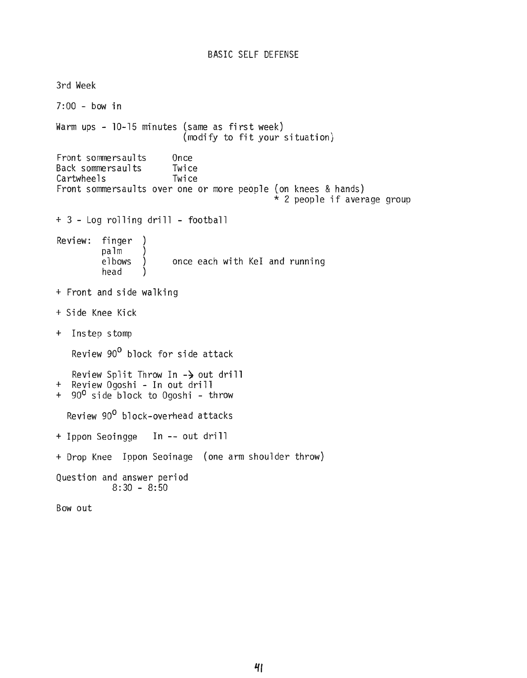3rd Week 7:00 - bow in Warm ups - 10-15 minutes (same as first week) (modify to fit your situation) Front sommersaults Once<br>Back sommersaults Twice Back sommersaults Twice<br>Cartwheels Twice Cartwheels Front sommersaults over one or more people (on knees & hands)<br>\* 2 people if average group + 3 - Log rolling drill - football Review: finger palm elbows head once each with KeI and running + Front and side walking + Side Knee Kick + Instep stomp Review 90<sup>0</sup> block for side attack Review Split Throw In  $-\frac{1}{2}$  out drill + Review Ogoshi - In out drill + 90<sup>0</sup> side block to Ogoshi - throw Review 90<sup>0</sup> block-overhead attacks + Ippon Seoingge In -- out drill + Drop Knee Ippon Seoinage (one arm shoulder throw) Question and answer period  $8:30 - 8:50$ Bow out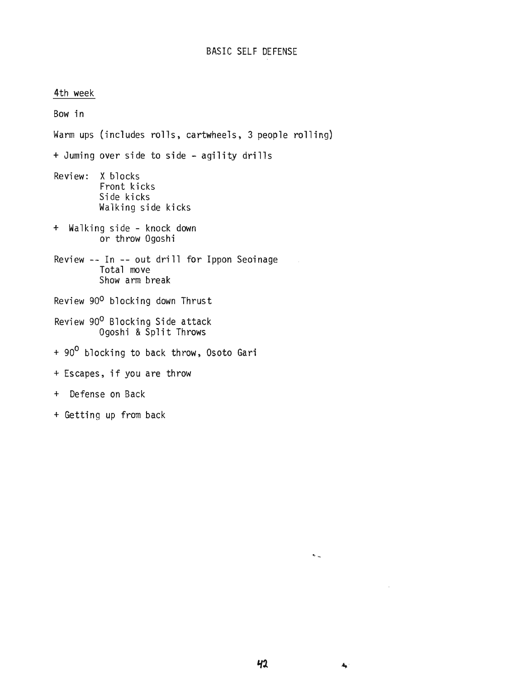4th week Bow in Warm ups (includes rolls, cartwheels, 3 people rolling) + Juming over side to side - agility drills Review: X blocks Front kicks Side kicks Walking side kicks + Walking side - knock down or throw Ogoshi Review -- In -- out drill for Ippon Seoinage Total move Show arm break Review 90<sup>0</sup> blocking down Thrust Review 90<sup>0</sup> Blocking Side attack Ogoshi & Šplit Thr<mark>ow</mark>s + 90<sup>0</sup> blocking to back throw, Osoto Gari <sup>+</sup> Escapes, if you are throw + Defense on Back + Getting up from back

 $\ddot{\textbf{A}}_{\text{max}}$ 

 $\mathbf{A}_{\mathbf{L}}$ 

 $\sim$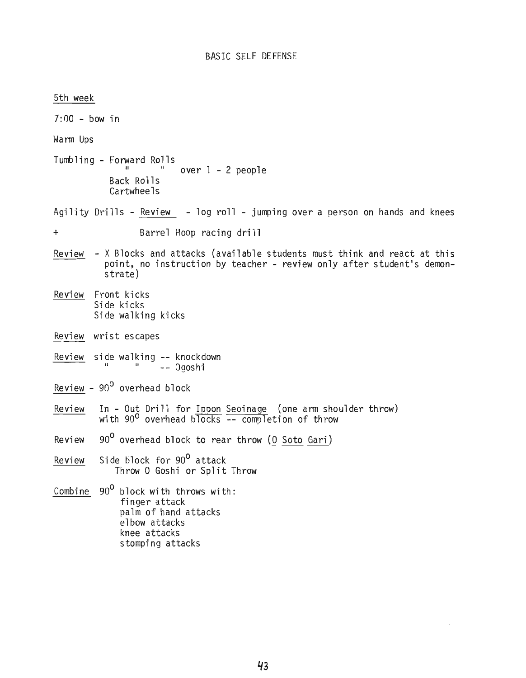5th week  $7:00 -$  bow in \~arm Ups Tumbling - Forward Rolls Back Rolls Cartwheels over 1 - 2 people Agility Drills - Review - log roll - jumping over a person on hands and knees + Barrel Hoop racing drill Review - XBlocks and attacks (available students must think and react at this point, no instruction by teacher - review only after student's demonstrate) Review Front kicks Side kicks Side walking kicks Review wrist escapes Review side walking **--** knockdown II II \_\_ Ogoshi Review -  $90^0$  overhead block Review In - Out Drill for Ippon Seoinage (one arm shoulder throw) with 90<sup>0</sup> overhead blocks -- completion of throw Review 90<sup>0</sup> overhead block to rear throw *(Q* Soto Gari) Review Side block for 90<sup>0</sup> attack Throw O Goshi or Split Throw Combine  $90^0$  block with throws with: finger attack palm of hand attacks elbow attacks knee attacks stomping attacks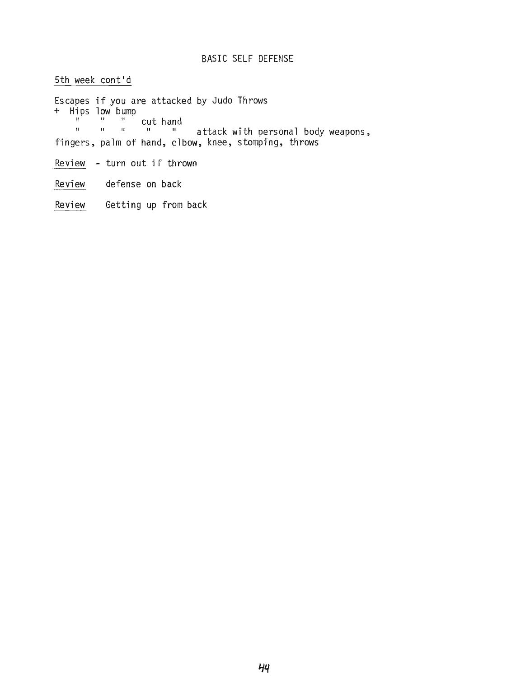# BASIC SELF DEFENSE

5th week cont'd Escapes if you are attacked by Judo Throws + Hips low bump  $\frac{1}{n}$   $\frac{n}{n}$  cut hand attack with personal body weapons, fingers, palm of hand, elbow, knee, stomping, throws Review - turn out if thrown

Review defense on back

Review Getting up from back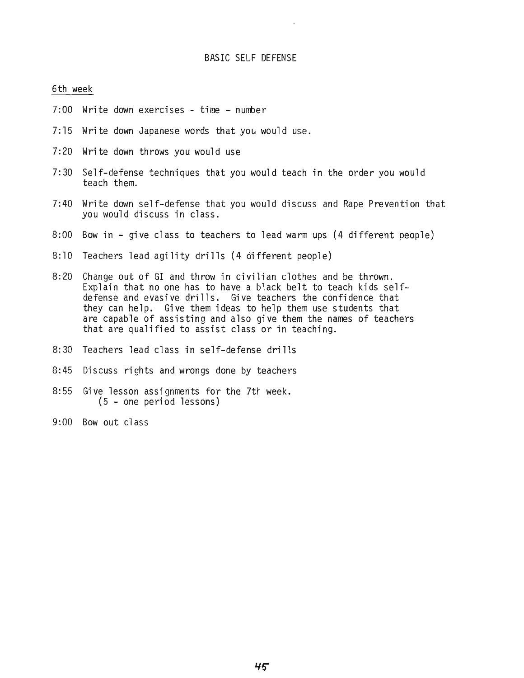## BASIC SELF DEFENSE

#### 6th week

- 7:00 Write down exercises time number
- $7:15$  Write down Japanese words that you would use.
- 7:20 Write down throws you would use
- 7:30 Self-defense techniques that you would teach in the order you would teach them.
- 7:40 Write down self-defense that you would discuss and Rape Prevention that you would discuss in class.
- 8:00 Bow in give class to teachers to lead warm ups (4 different people)
- 8:10 Teachers lead agility drills (4 different people)
- 8:20 Change out of GI and throw in civilian clothes and be thrown. Explain that no one has to have a black belt to teach kids selfdefense and evasive drills. Give teachers the confidence that they can help. Give them ideas to help them use students that are capable of assisting and also give them the names of teachers that are qualified to assist class or in teaching.
- 8:30 Teachers lead class in self-defense drills
- 8:45 Discuss rights and wrongs done by teachers
- 8:55 Give lesson assignments for the 7th week. (5 - one period lessons)
- 9:00 Bow out class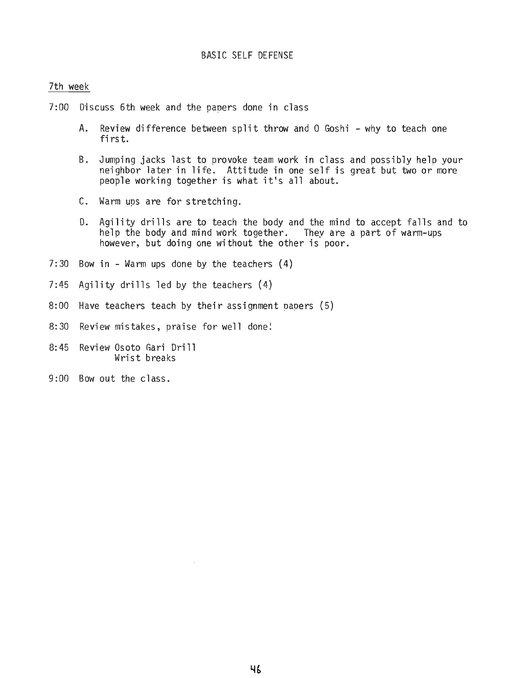## BASIC SELF DEFENSE

#### 7th week

- 7:00 Discuss 6th week and the paoers done in class
	- A. Review difference between split throw and 0 Goshi why to teach one first.
	- B. Jumping jacks last to provoke team work in class and possibly help your neighbor later in life. Attitude in one self is great but two or more people working together is what it's **all** about.
	- C. Warm ups are for stretching.
	- D. Agility drills are to teach the body and the mind to accept falls and to help the body and mind work together. They are a part of warm-ups however, but doing one without the other is poor.
- 7:30 Bow in Warm ups done by the teachers (4)
- 7:45 Agility drills led by the teachers (4)
- 8:00 Have teachers teach by their assignment papers (5)
- 8:30 Review mistakes, praise for well done:
- 8:45 Review Osoto Gari Drill Wrist breaks
- 9:00 Bow out the class.